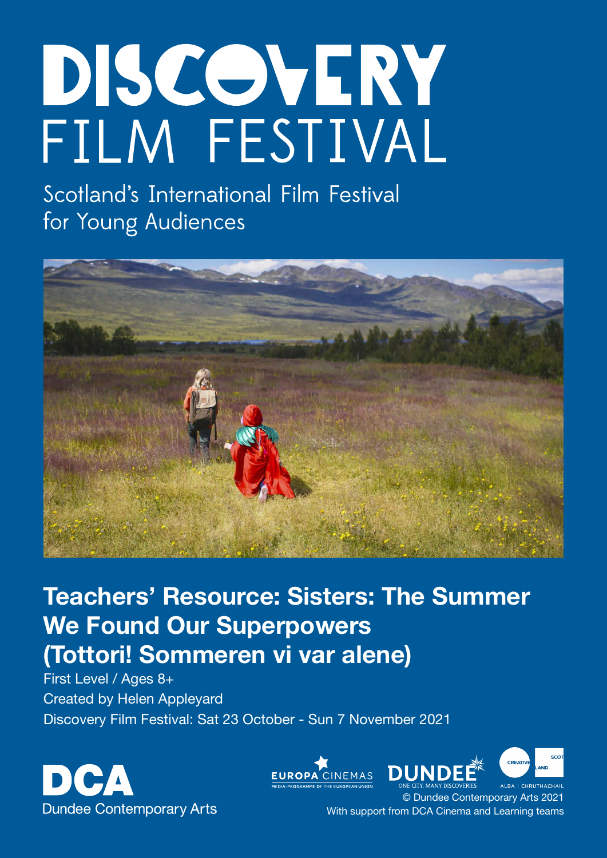# DISCOVERY FILM FESTIVAL

Scotland's International Film Festival for Young Audiences



# Teachers' Resource: Sisters: The Summer We Found Our Superpowers (Tottori! Sommeren vi var alene)

First Level / Ages 8+ Created by Helen Appleyard Discovery Film Festival: Sat 23 October - Sun 7 November 2021







© Dundee Contemporary Arts 2021 With support from DCA Cinema and Learning teams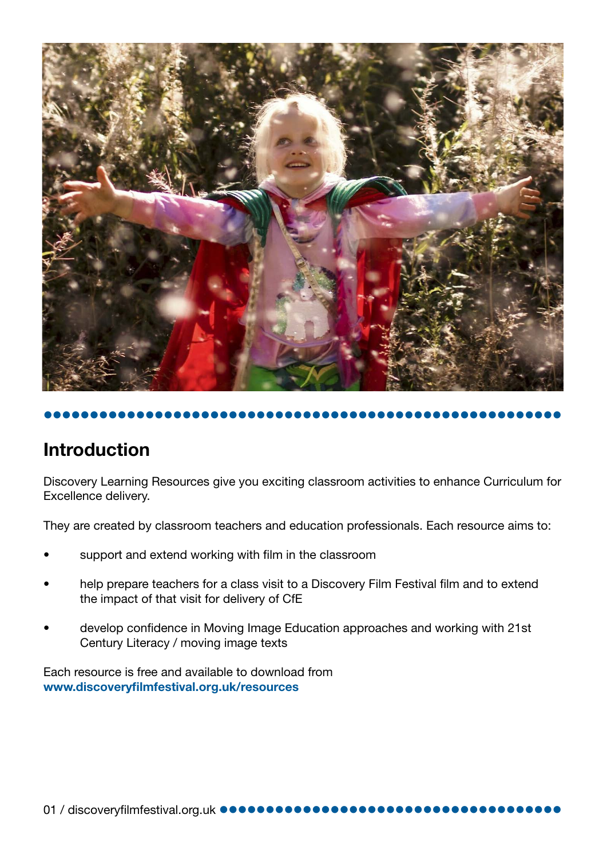



# Introduction

Discovery Learning Resources give you exciting classroom activities to enhance Curriculum for Excellence delivery.

They are created by classroom teachers and education professionals. Each resource aims to:

- support and extend working with film in the classroom
- help prepare teachers for a class visit to a Discovery Film Festival film and to extend the impact of that visit for delivery of CfE
- develop confidence in Moving Image Education approaches and working with 21st Century Literacy / moving image texts

Each resource is free and available to download from [www.discoveryfilmfestival.org.uk/resources](http://www.discoveryfilmfestival.org.uk/resources)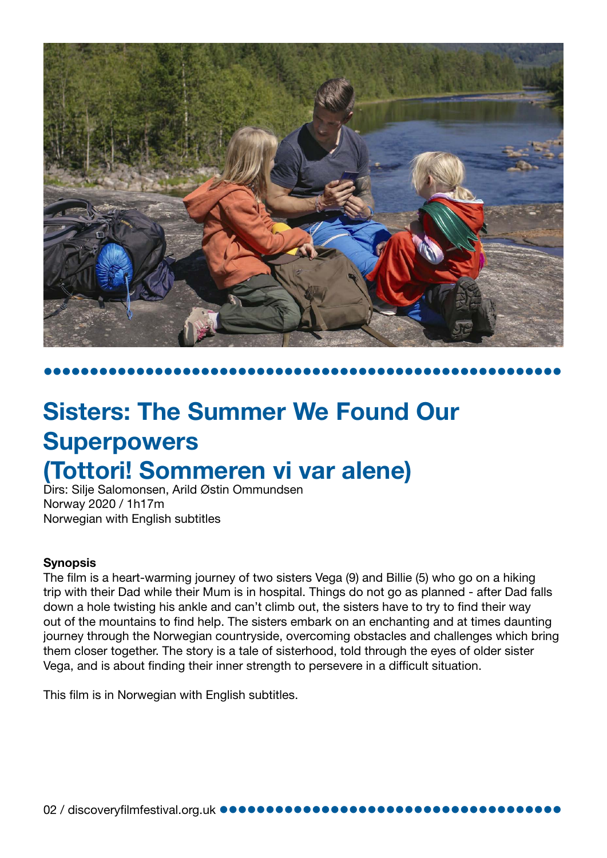

# Sisters: The Summer We Found Our **Superpowers** (Tottori! Sommeren vi var alene)

Dirs: Silje Salomonsen, Arild Østin Ommundsen Norway 2020 / 1h17m Norwegian with English subtitles

#### **Synopsis**

The film is a heart-warming journey of two sisters Vega (9) and Billie (5) who go on a hiking trip with their Dad while their Mum is in hospital. Things do not go as planned - after Dad falls down a hole twisting his ankle and can't climb out, the sisters have to try to find their way out of the mountains to find help. The sisters embark on an enchanting and at times daunting journey through the Norwegian countryside, overcoming obstacles and challenges which bring them closer together. The story is a tale of sisterhood, told through the eyes of older sister Vega, and is about finding their inner strength to persevere in a difficult situation.

This film is in Norwegian with English subtitles.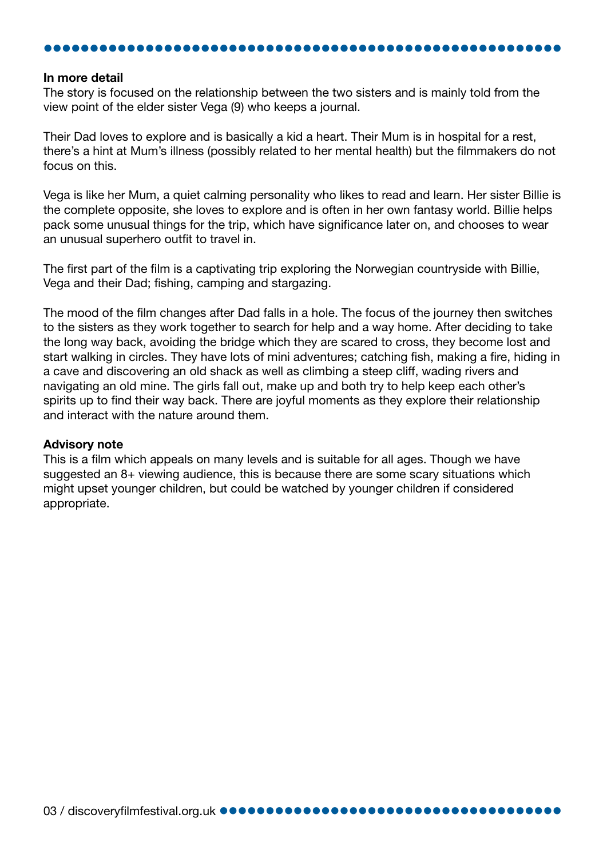#### In more detail

The story is focused on the relationship between the two sisters and is mainly told from the view point of the elder sister Vega (9) who keeps a journal.

Their Dad loves to explore and is basically a kid a heart. Their Mum is in hospital for a rest, there's a hint at Mum's illness (possibly related to her mental health) but the filmmakers do not focus on this.

Vega is like her Mum, a quiet calming personality who likes to read and learn. Her sister Billie is the complete opposite, she loves to explore and is often in her own fantasy world. Billie helps pack some unusual things for the trip, which have significance later on, and chooses to wear an unusual superhero outfit to travel in.

The first part of the film is a captivating trip exploring the Norwegian countryside with Billie, Vega and their Dad; fishing, camping and stargazing.

The mood of the film changes after Dad falls in a hole. The focus of the journey then switches to the sisters as they work together to search for help and a way home. After deciding to take the long way back, avoiding the bridge which they are scared to cross, they become lost and start walking in circles. They have lots of mini adventures; catching fish, making a fire, hiding in a cave and discovering an old shack as well as climbing a steep cliff, wading rivers and navigating an old mine. The girls fall out, make up and both try to help keep each other's spirits up to find their way back. There are joyful moments as they explore their relationship and interact with the nature around them.

#### Advisory note

This is a film which appeals on many levels and is suitable for all ages. Though we have suggested an 8+ viewing audience, this is because there are some scary situations which might upset younger children, but could be watched by younger children if considered appropriate.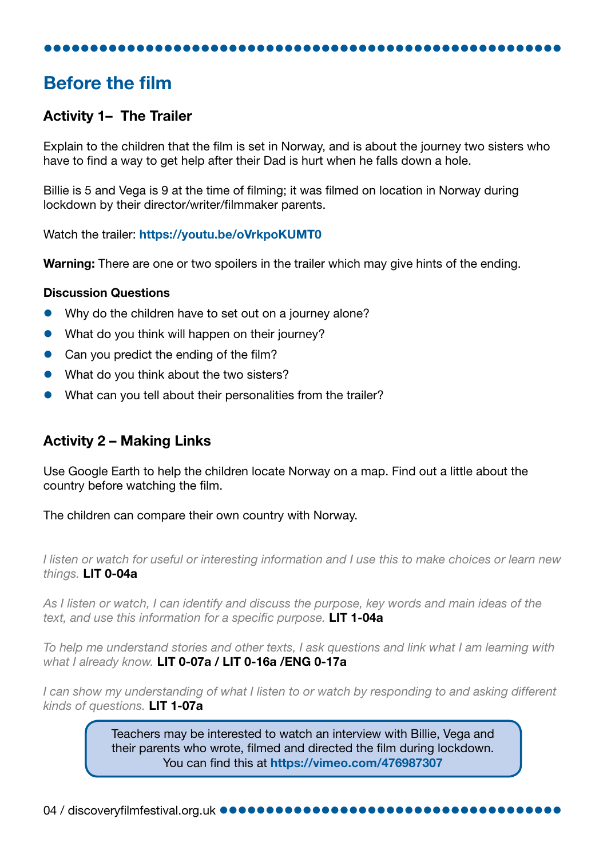## Before the film

#### Activity 1– The Trailer

Explain to the children that the film is set in Norway, and is about the journey two sisters who have to find a way to get help after their Dad is hurt when he falls down a hole.

Billie is 5 and Vega is 9 at the time of filming; it was filmed on location in Norway during lockdown by their director/writer/filmmaker parents.

Watch the trailer: <https://youtu.be/oVrkpoKUMT0>

Warning: There are one or two spoilers in the trailer which may give hints of the ending.

#### Discussion Questions

- Why do the children have to set out on a journey alone?
- What do you think will happen on their journey?
- Can you predict the ending of the film?
- What do you think about the two sisters?
- What can you tell about their personalities from the trailer?

#### Activity 2 – Making Links

Use Google Earth to help the children locate Norway on a map. Find out a little about the country before watching the film.

The children can compare their own country with Norway.

*I listen or watch for useful or interesting information and I use this to make choices or learn new things.* LIT 0-04a

*As I listen or watch, I can identify and discuss the purpose, key words and main ideas of the text, and use this information for a specific purpose.* LIT 1-04a

*To help me understand stories and other texts, I ask questions and link what I am learning with what I already know.* LIT 0-07a / LIT 0-16a /ENG 0-17a

*I can show my understanding of what I listen to or watch by responding to and asking different kinds of questions.* LIT 1-07a

> Teachers may be interested to watch an interview with Billie, Vega and their parents who wrote, filmed and directed the film during lockdown. You can find this at <https://vimeo.com/476987307>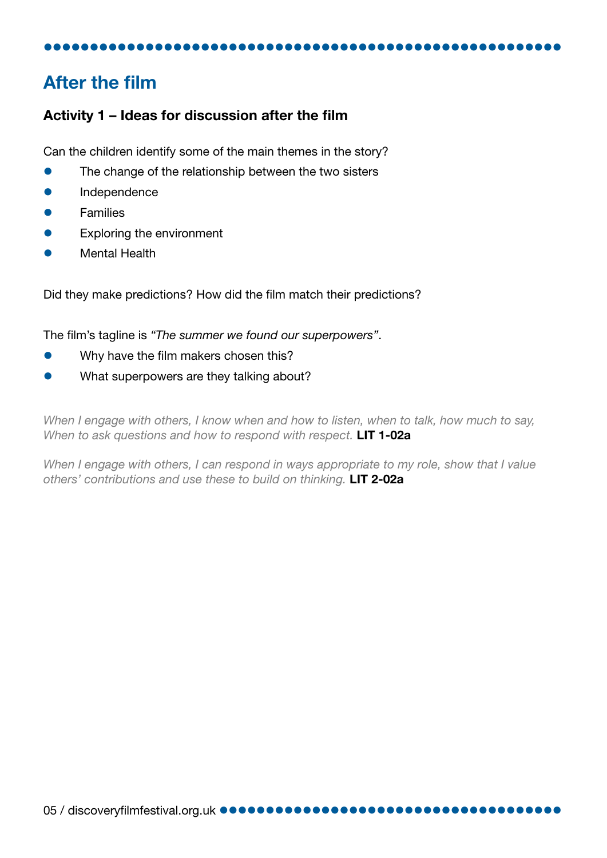### After the film

#### Activity 1 – Ideas for discussion after the film

Can the children identify some of the main themes in the story?

- The change of the relationship between the two sisters
- **Independence**
- **Families**
- Exploring the environment
- Mental Health

Did they make predictions? How did the film match their predictions?

The film's tagline is *"The summer we found our superpowers"*.

- Why have the film makers chosen this?
- What superpowers are they talking about?

*When I engage with others, I know when and how to listen, when to talk, how much to say,*  When to ask questions and how to respond with respect. **LIT 1-02a** 

*When I engage with others, I can respond in ways appropriate to my role, show that I value others' contributions and use these to build on thinking.* LIT 2-02a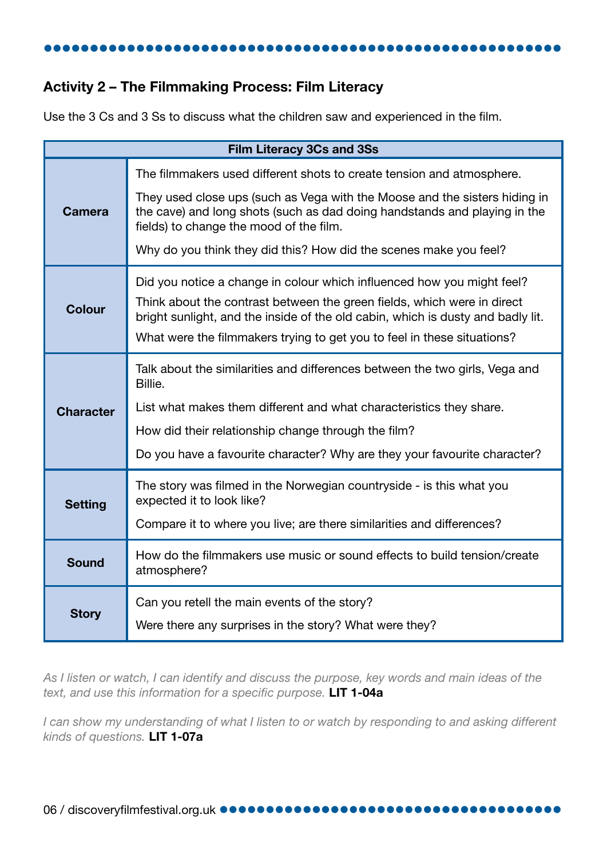#### Activity 2 – The Filmmaking Process: Film Literacy

Use the 3 Cs and 3 Ss to discuss what the children saw and experienced in the film.

| <b>Film Literacy 3Cs and 3Ss</b> |                                                                                                                                                                                                                                       |  |  |  |  |  |
|----------------------------------|---------------------------------------------------------------------------------------------------------------------------------------------------------------------------------------------------------------------------------------|--|--|--|--|--|
| <b>Camera</b>                    | The filmmakers used different shots to create tension and atmosphere.<br>They used close ups (such as Vega with the Moose and the sisters hiding in                                                                                   |  |  |  |  |  |
|                                  | the cave) and long shots (such as dad doing handstands and playing in the<br>fields) to change the mood of the film.                                                                                                                  |  |  |  |  |  |
|                                  | Why do you think they did this? How did the scenes make you feel?                                                                                                                                                                     |  |  |  |  |  |
| <b>Colour</b>                    | Did you notice a change in colour which influenced how you might feel?                                                                                                                                                                |  |  |  |  |  |
|                                  | Think about the contrast between the green fields, which were in direct<br>bright sunlight, and the inside of the old cabin, which is dusty and badly lit.<br>What were the filmmakers trying to get you to feel in these situations? |  |  |  |  |  |
|                                  |                                                                                                                                                                                                                                       |  |  |  |  |  |
| <b>Character</b>                 | Talk about the similarities and differences between the two girls, Vega and<br>Billie.                                                                                                                                                |  |  |  |  |  |
|                                  | List what makes them different and what characteristics they share.                                                                                                                                                                   |  |  |  |  |  |
|                                  | How did their relationship change through the film?                                                                                                                                                                                   |  |  |  |  |  |
|                                  | Do you have a favourite character? Why are they your favourite character?                                                                                                                                                             |  |  |  |  |  |
| <b>Setting</b>                   | The story was filmed in the Norwegian countryside - is this what you<br>expected it to look like?                                                                                                                                     |  |  |  |  |  |
|                                  | Compare it to where you live; are there similarities and differences?                                                                                                                                                                 |  |  |  |  |  |
| <b>Sound</b>                     | How do the filmmakers use music or sound effects to build tension/create<br>atmosphere?                                                                                                                                               |  |  |  |  |  |
| <b>Story</b>                     |                                                                                                                                                                                                                                       |  |  |  |  |  |
|                                  | Can you retell the main events of the story?                                                                                                                                                                                          |  |  |  |  |  |
|                                  | Were there any surprises in the story? What were they?                                                                                                                                                                                |  |  |  |  |  |

*As I listen or watch, I can identify and discuss the purpose, key words and main ideas of the text, and use this information for a specific purpose.* LIT 1-04a

*I can show my understanding of what I listen to or watch by responding to and asking different kinds of questions.* LIT 1-07a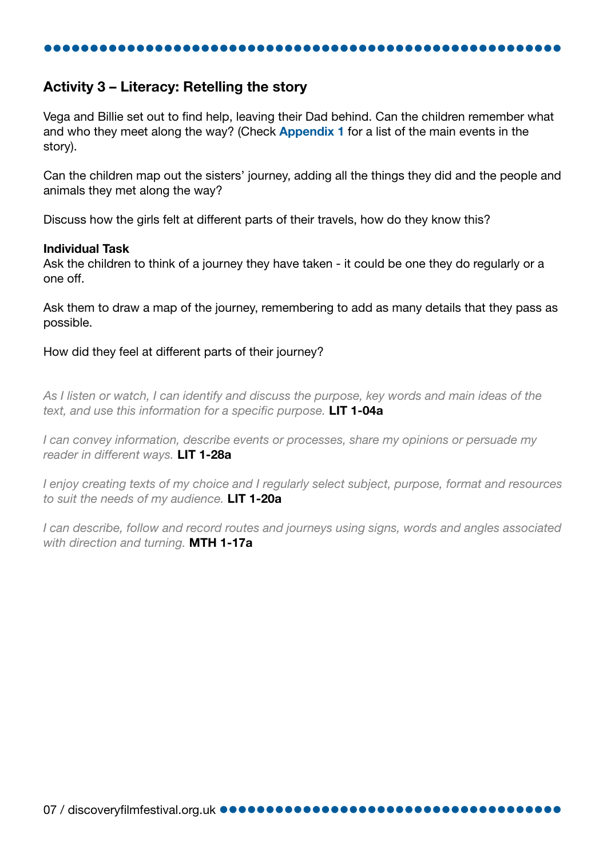#### Activity 3 – Literacy: Retelling the story

Vega and Billie set out to find help, leaving their Dad behind. Can the children remember what and who they meet along the way? (Check **[Appendix 1](#page-11-0)** for a list of the main events in the story).

Can the children map out the sisters' journey, adding all the things they did and the people and animals they met along the way?

Discuss how the girls felt at different parts of their travels, how do they know this?

#### Individual Task

Ask the children to think of a journey they have taken - it could be one they do regularly or a one off.

Ask them to draw a map of the journey, remembering to add as many details that they pass as possible.

How did they feel at different parts of their journey?

*As I listen or watch, I can identify and discuss the purpose, key words and main ideas of the text, and use this information for a specific purpose.* LIT 1-04a

*I can convey information, describe events or processes, share my opinions or persuade my reader in different ways.* LIT 1-28a

*I enjoy creating texts of my choice and I regularly select subject, purpose, format and resources to suit the needs of my audience.* LIT 1-20a

*I can describe, follow and record routes and journeys using signs, words and angles associated with direction and turning.* MTH 1-17a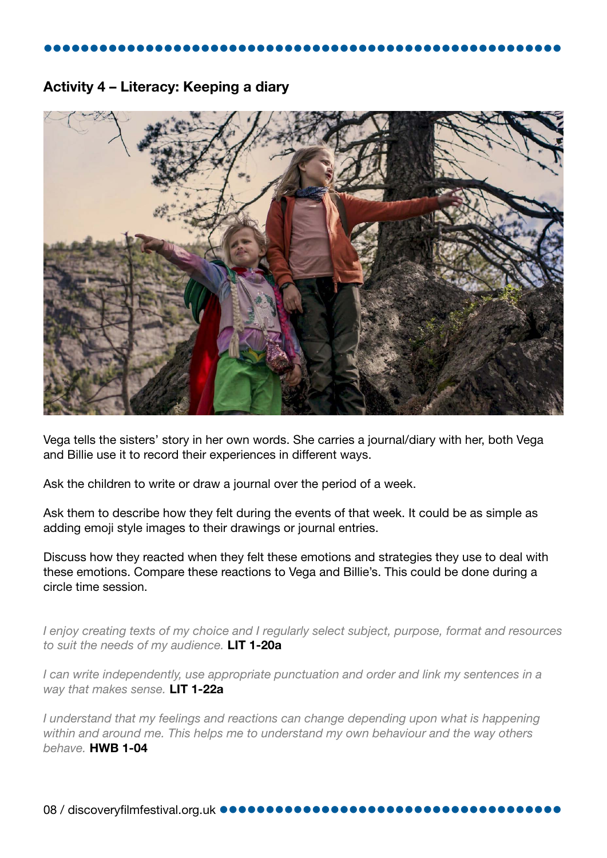#### Activity 4 – Literacy: Keeping a diary



Vega tells the sisters' story in her own words. She carries a journal/diary with her, both Vega and Billie use it to record their experiences in different ways.

Ask the children to write or draw a journal over the period of a week.

Ask them to describe how they felt during the events of that week. It could be as simple as adding emoji style images to their drawings or journal entries.

Discuss how they reacted when they felt these emotions and strategies they use to deal with these emotions. Compare these reactions to Vega and Billie's. This could be done during a circle time session.

*I enjoy creating texts of my choice and I regularly select subject, purpose, format and resources to suit the needs of my audience.* LIT 1-20a

*I can write independently, use appropriate punctuation and order and link my sentences in a way that makes sense.* LIT 1-22a

*I understand that my feelings and reactions can change depending upon what is happening within and around me. This helps me to understand my own behaviour and the way others behave.* HWB 1-04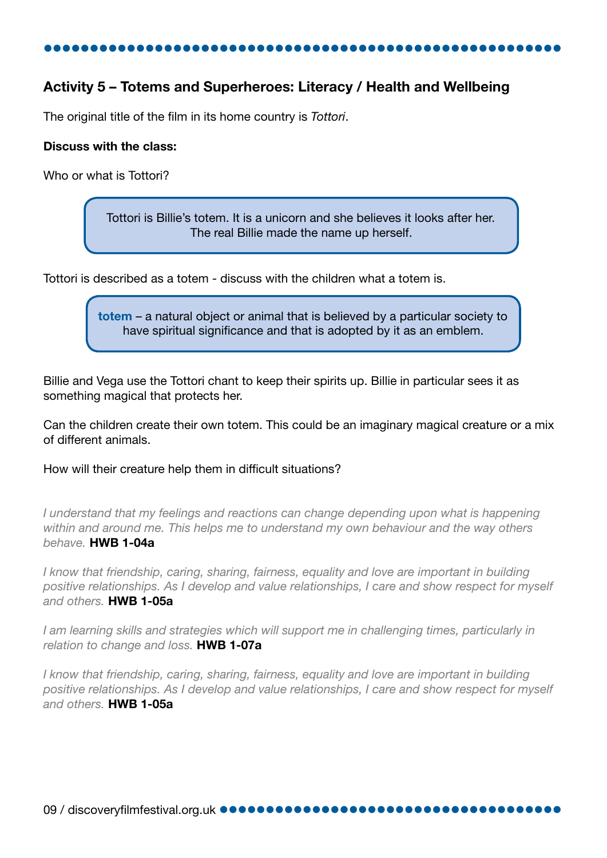#### Activity 5 – Totems and Superheroes: Literacy / Health and Wellbeing

The original title of the film in its home country is *Tottori*.

#### Discuss with the class:

Who or what is Tottori?

Tottori is Billie's totem. It is a unicorn and she believes it looks after her. The real Billie made the name up herself.

Tottori is described as a totem - discuss with the children what a totem is.

totem – a natural object or animal that is believed by a particular society to have spiritual significance and that is adopted by it as an emblem.

Billie and Vega use the Tottori chant to keep their spirits up. Billie in particular sees it as something magical that protects her.

Can the children create their own totem. This could be an imaginary magical creature or a mix of different animals.

How will their creature help them in difficult situations?

*I* understand that my feelings and reactions can change depending upon what is happening *within and around me. This helps me to understand my own behaviour and the way others behave.* HWB 1-04a

*I know that friendship, caring, sharing, fairness, equality and love are important in building positive relationships. As I develop and value relationships, I care and show respect for myself and others.* HWB 1-05a

*I am learning skills and strategies which will support me in challenging times, particularly in relation to change and loss.* HWB 1-07a

*I know that friendship, caring, sharing, fairness, equality and love are important in building positive relationships. As I develop and value relationships, I care and show respect for myself and others.* HWB 1-05a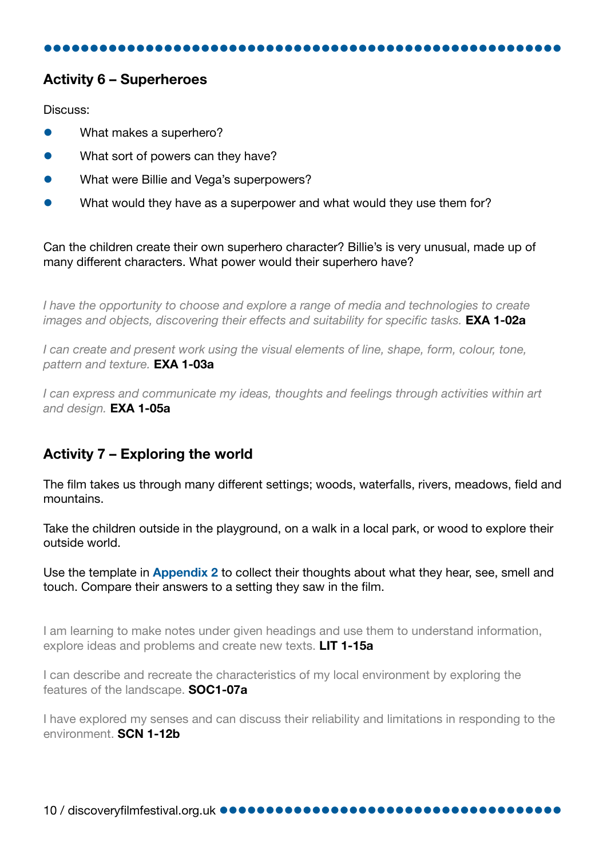#### Activity 6 – Superheroes

Discuss:

- What makes a superhero?
- What sort of powers can they have?
- What were Billie and Vega's superpowers?
- What would they have as a superpower and what would they use them for?

Can the children create their own superhero character? Billie's is very unusual, made up of many different characters. What power would their superhero have?

*I have the opportunity to choose and explore a range of media and technologies to create images and objects, discovering their effects and suitability for specific tasks.* **EXA 1-02a** 

*I can create and present work using the visual elements of line, shape, form, colour, tone, pattern and texture.* EXA 1-03a

*I can express and communicate my ideas, thoughts and feelings through activities within art and design.* EXA 1-05a

#### Activity 7 – Exploring the world

The film takes us through many different settings; woods, waterfalls, rivers, meadows, field and mountains.

Take the children outside in the playground, on a walk in a local park, or wood to explore their outside world.

Use the template in **[Appendix 2](#page-12-0)** to collect their thoughts about what they hear, see, smell and touch. Compare their answers to a setting they saw in the film.

I am learning to make notes under given headings and use them to understand information, explore ideas and problems and create new texts. LIT 1-15a

I can describe and recreate the characteristics of my local environment by exploring the features of the landscape. SOC1-07a

I have explored my senses and can discuss their reliability and limitations in responding to the environment. SCN 1-12b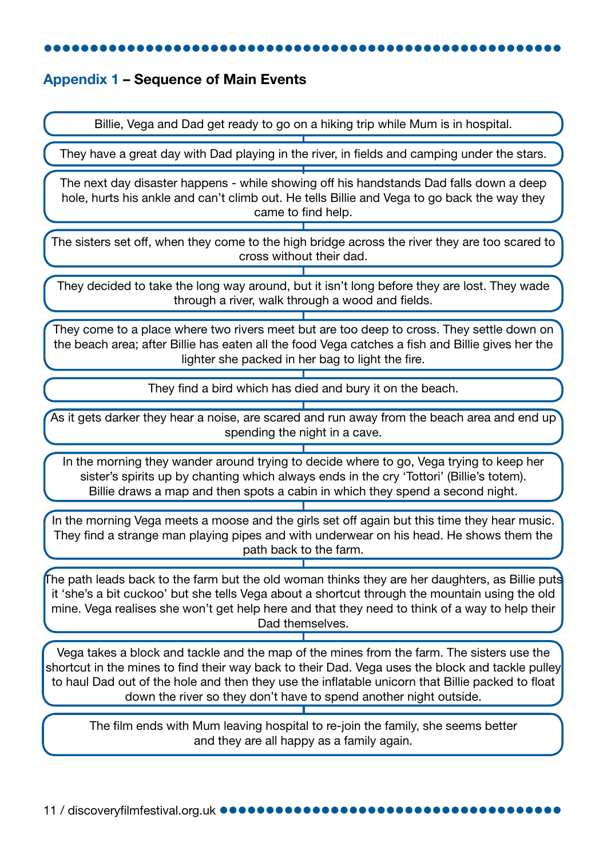#### <span id="page-11-0"></span>Appendix 1 – Sequence of Main Events

Billie, Vega and Dad get ready to go on a hiking trip while Mum is in hospital.

They have a great day with Dad playing in the river, in fields and camping under the stars.

The next day disaster happens - while showing off his handstands Dad falls down a deep hole, hurts his ankle and can't climb out. He tells Billie and Vega to go back the way they came to find help.

The sisters set off, when they come to the high bridge across the river they are too scared to cross without their dad.

They decided to take the long way around, but it isn't long before they are lost. They wade through a river, walk through a wood and fields.

They come to a place where two rivers meet but are too deep to cross. They settle down on the beach area; after Billie has eaten all the food Vega catches a fish and Billie gives her the lighter she packed in her bag to light the fire.

They find a bird which has died and bury it on the beach.

As it gets darker they hear a noise, are scared and run away from the beach area and end up spending the night in a cave.

In the morning they wander around trying to decide where to go, Vega trying to keep her sister's spirits up by chanting which always ends in the cry 'Tottori' (Billie's totem). Billie draws a map and then spots a cabin in which they spend a second night.

In the morning Vega meets a moose and the girls set off again but this time they hear music. They find a strange man playing pipes and with underwear on his head. He shows them the path back to the farm.

The path leads back to the farm but the old woman thinks they are her daughters, as Billie puts it 'she's a bit cuckoo' but she tells Vega about a shortcut through the mountain using the old mine. Vega realises she won't get help here and that they need to think of a way to help their Dad themselves.

Vega takes a block and tackle and the map of the mines from the farm. The sisters use the shortcut in the mines to find their way back to their Dad. Vega uses the block and tackle pulley to haul Dad out of the hole and then they use the inflatable unicorn that Billie packed to float down the river so they don't have to spend another night outside.

The film ends with Mum leaving hospital to re-join the family, she seems better and they are all happy as a family again.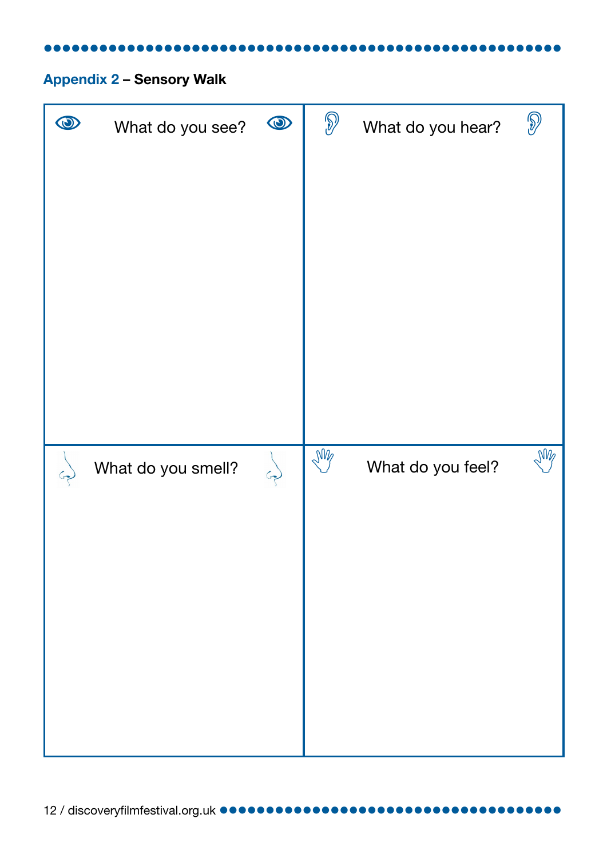# <span id="page-12-0"></span>Appendix 2 – Sensory Walk

| $\boldsymbol{\varpi}$ | What do you see?   | $\bigcirc$ | $\bigcirc$ | What do you hear? | $\widehat{S}$ |
|-----------------------|--------------------|------------|------------|-------------------|---------------|
|                       |                    |            |            |                   |               |
|                       |                    |            |            |                   |               |
|                       |                    |            |            |                   |               |
|                       |                    |            |            |                   |               |
|                       |                    |            |            |                   |               |
|                       | What do you smell? |            | My         | What do you feel? | M             |
|                       |                    |            |            |                   |               |
|                       |                    |            |            |                   |               |
|                       |                    |            |            |                   |               |
|                       |                    |            |            |                   |               |
|                       |                    |            |            |                   |               |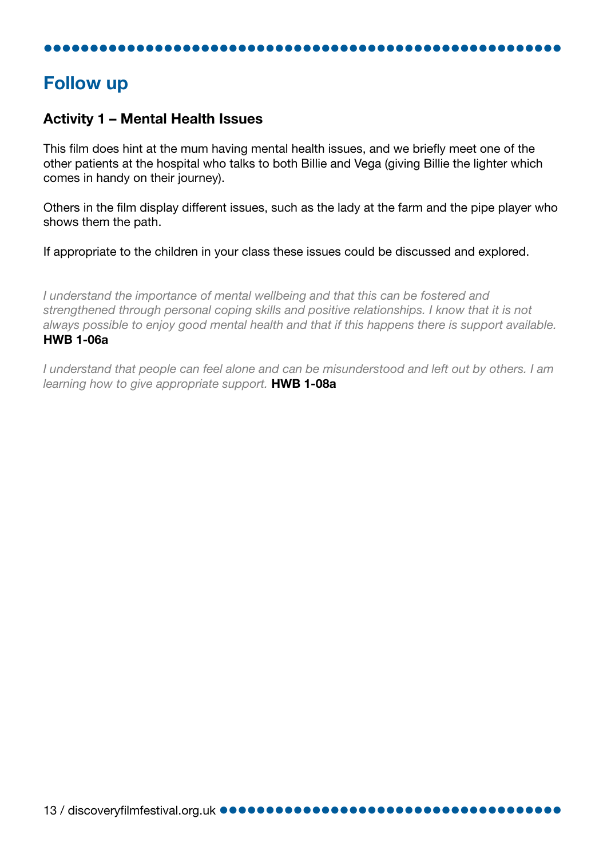# Follow up

#### Activity 1 – Mental Health Issues

This film does hint at the mum having mental health issues, and we briefly meet one of the other patients at the hospital who talks to both Billie and Vega (giving Billie the lighter which comes in handy on their journey).

Others in the film display different issues, such as the lady at the farm and the pipe player who shows them the path.

If appropriate to the children in your class these issues could be discussed and explored.

*I understand the importance of mental wellbeing and that this can be fostered and strengthened through personal coping skills and positive relationships. I know that it is not always possible to enjoy good mental health and that if this happens there is support available.*  HWB 1-06a

*I understand that people can feel alone and can be misunderstood and left out by others. I am learning how to give appropriate support.* HWB 1-08a